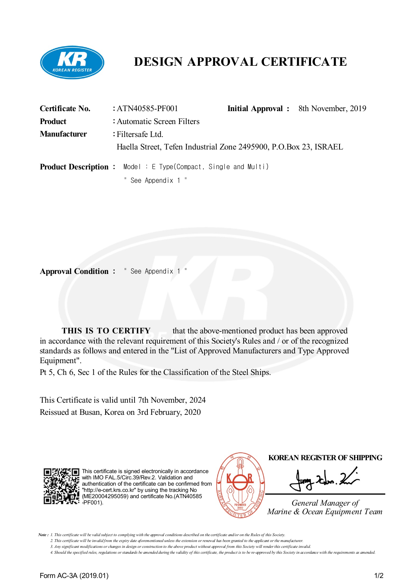

# **DESIGN APPROVAL CERTIFICATE**

| Certificate No.     | : $ATN40585-PF001$                                                     |  | <b>Initial Approval</b> : 8th November, 2019 |  |  |
|---------------------|------------------------------------------------------------------------|--|----------------------------------------------|--|--|
| <b>Product</b>      | : Automatic Screen Filters                                             |  |                                              |  |  |
| <b>Manufacturer</b> | : Filtersafe Ltd.                                                      |  |                                              |  |  |
|                     | Haella Street, Tefen Industrial Zone 2495900, P.O.Box 23, ISRAEL       |  |                                              |  |  |
|                     | <b>Product Description :</b> Model : E Type(Compact, Single and Multi) |  |                                              |  |  |
|                     | " See Appendix 1 "                                                     |  |                                              |  |  |

**Approval Condition :** " See Appendix 1 "

**THIS IS TO CERTIFY** that the above-mentioned product has been approved in accordance with the relevant requirement of this Society's Rules and / or of the recognized standards as follows and entered in the "List of Approved Manufacturers and Type Approved Equipment".

Pt 5, Ch 6, Sec 1 of the Rules for the Classification of the Steel Ships.

This Certificate is valid until 7th November, 2024 Reissued at Busan, Korea on 3rd February, 2020



This certificate is signed electronically in accordance with IMO FAL.5/Circ.39/Rev.2. Validation and authentication of the certificate can be confirmed from "http://e-cert.krs.co.kr" by using the tracking No (ME20004295059) and certificate No.(ATN40585  $\cdot$  -PF001).



Note: 1. This certificate will be valid subject to complying with the approval conditions described on the certificate and/or on the Rules of this Society.

2. This certificate will be invalid from the expiry date aforementioned unless the extension or renewal has been granted to the applicant or the manufacturer. 3. Any significant modifications or changes in design or construction to the above product without approval from this Society will render this certificate invalid.

4. Should the specified rules, regulations or standards be amended during the validity of this certificate, the product is to be re-approved by this Society in accordance with the requirements as amended.